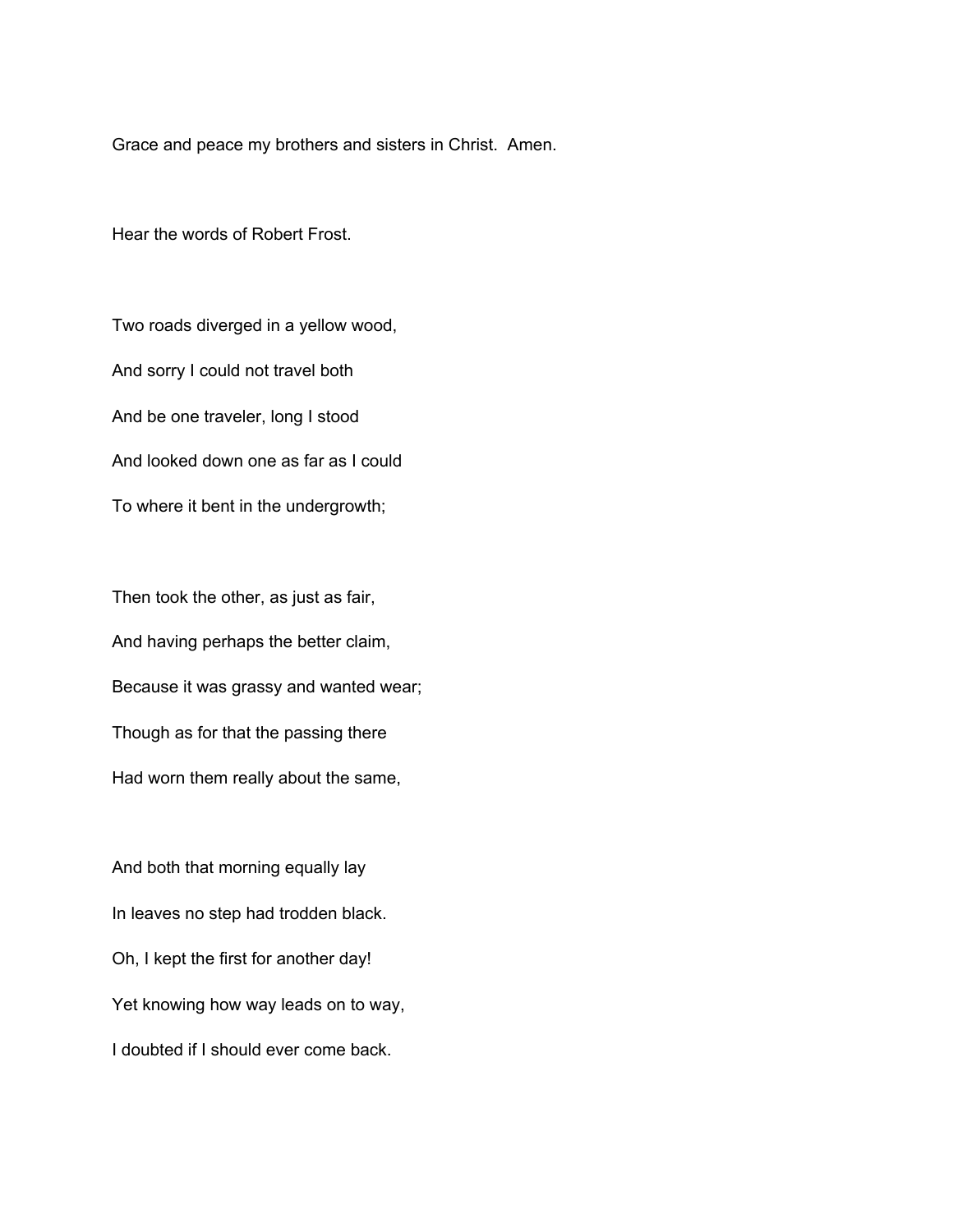Grace and peace my brothers and sisters in Christ. Amen.

Hear the words of Robert Frost.

Two roads diverged in a yellow wood, And sorry I could not travel both And be one traveler, long I stood And looked down one as far as I could To where it bent in the undergrowth;

Then took the other, as just as fair, And having perhaps the better claim, Because it was grassy and wanted wear; Though as for that the passing there Had worn them really about the same,

And both that morning equally lay In leaves no step had trodden black. Oh, I kept the first for another day! Yet knowing how way leads on to way, I doubted if I should ever come back.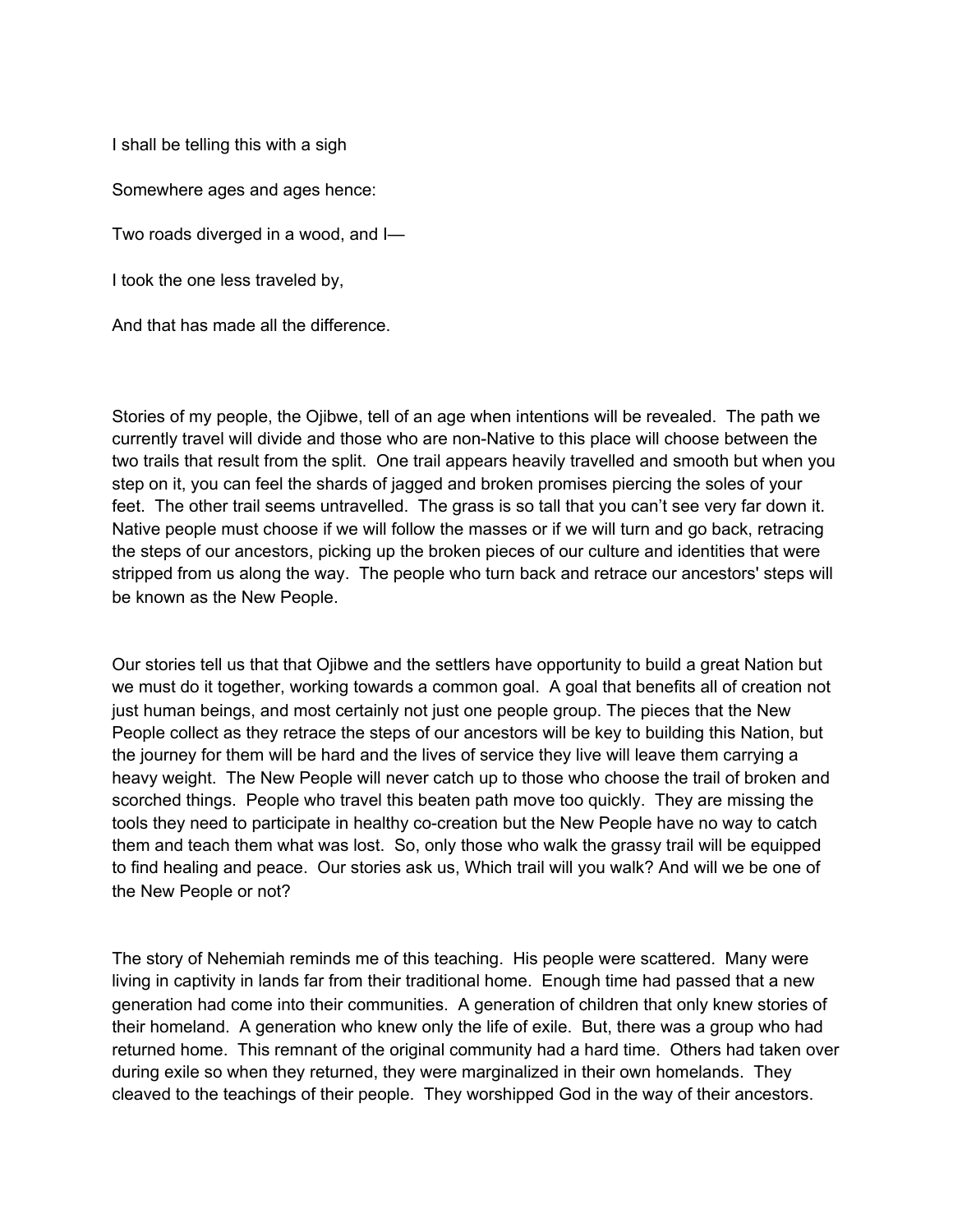I shall be telling this with a sigh

Somewhere ages and ages hence:

Two roads diverged in a wood, and I—

I took the one less traveled by,

And that has made all the difference.

Stories of my people, the Ojibwe, tell of an age when intentions will be revealed. The path we currently travel will divide and those who are non-Native to this place will choose between the two trails that result from the split. One trail appears heavily travelled and smooth but when you step on it, you can feel the shards of jagged and broken promises piercing the soles of your feet. The other trail seems untravelled. The grass is so tall that you can't see very far down it. Native people must choose if we will follow the masses or if we will turn and go back, retracing the steps of our ancestors, picking up the broken pieces of our culture and identities that were stripped from us along the way. The people who turn back and retrace our ancestors' steps will be known as the New People.

Our stories tell us that that Ojibwe and the settlers have opportunity to build a great Nation but we must do it together, working towards a common goal. A goal that benefits all of creation not just human beings, and most certainly not just one people group. The pieces that the New People collect as they retrace the steps of our ancestors will be key to building this Nation, but the journey for them will be hard and the lives of service they live will leave them carrying a heavy weight. The New People will never catch up to those who choose the trail of broken and scorched things. People who travel this beaten path move too quickly. They are missing the tools they need to participate in healthy co-creation but the New People have no way to catch them and teach them what was lost. So, only those who walk the grassy trail will be equipped to find healing and peace. Our stories ask us, Which trail will you walk? And will we be one of the New People or not?

The story of Nehemiah reminds me of this teaching. His people were scattered. Many were living in captivity in lands far from their traditional home. Enough time had passed that a new generation had come into their communities. A generation of children that only knew stories of their homeland. A generation who knew only the life of exile. But, there was a group who had returned home. This remnant of the original community had a hard time. Others had taken over during exile so when they returned, they were marginalized in their own homelands. They cleaved to the teachings of their people. They worshipped God in the way of their ancestors.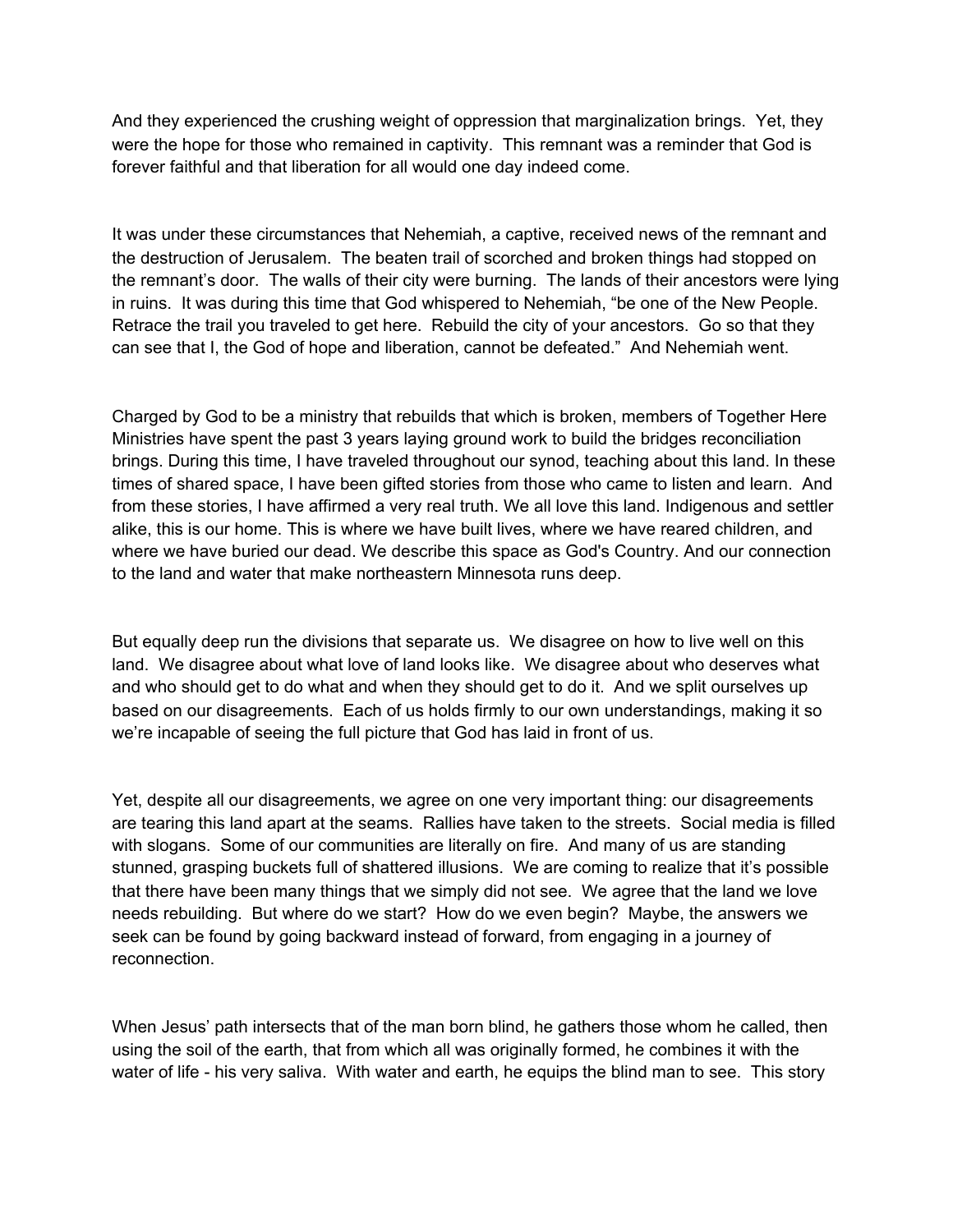And they experienced the crushing weight of oppression that marginalization brings. Yet, they were the hope for those who remained in captivity. This remnant was a reminder that God is forever faithful and that liberation for all would one day indeed come.

It was under these circumstances that Nehemiah, a captive, received news of the remnant and the destruction of Jerusalem. The beaten trail of scorched and broken things had stopped on the remnant's door. The walls of their city were burning. The lands of their ancestors were lying in ruins. It was during this time that God whispered to Nehemiah, "be one of the New People. Retrace the trail you traveled to get here. Rebuild the city of your ancestors. Go so that they can see that I, the God of hope and liberation, cannot be defeated." And Nehemiah went.

Charged by God to be a ministry that rebuilds that which is broken, members of Together Here Ministries have spent the past 3 years laying ground work to build the bridges reconciliation brings. During this time, I have traveled throughout our synod, teaching about this land. In these times of shared space, I have been gifted stories from those who came to listen and learn. And from these stories, I have affirmed a very real truth. We all love this land. Indigenous and settler alike, this is our home. This is where we have built lives, where we have reared children, and where we have buried our dead. We describe this space as God's Country. And our connection to the land and water that make northeastern Minnesota runs deep.

But equally deep run the divisions that separate us. We disagree on how to live well on this land. We disagree about what love of land looks like. We disagree about who deserves what and who should get to do what and when they should get to do it. And we split ourselves up based on our disagreements. Each of us holds firmly to our own understandings, making it so we're incapable of seeing the full picture that God has laid in front of us.

Yet, despite all our disagreements, we agree on one very important thing: our disagreements are tearing this land apart at the seams. Rallies have taken to the streets. Social media is filled with slogans. Some of our communities are literally on fire. And many of us are standing stunned, grasping buckets full of shattered illusions. We are coming to realize that it's possible that there have been many things that we simply did not see. We agree that the land we love needs rebuilding. But where do we start? How do we even begin? Maybe, the answers we seek can be found by going backward instead of forward, from engaging in a journey of reconnection.

When Jesus' path intersects that of the man born blind, he gathers those whom he called, then using the soil of the earth, that from which all was originally formed, he combines it with the water of life - his very saliva. With water and earth, he equips the blind man to see. This story